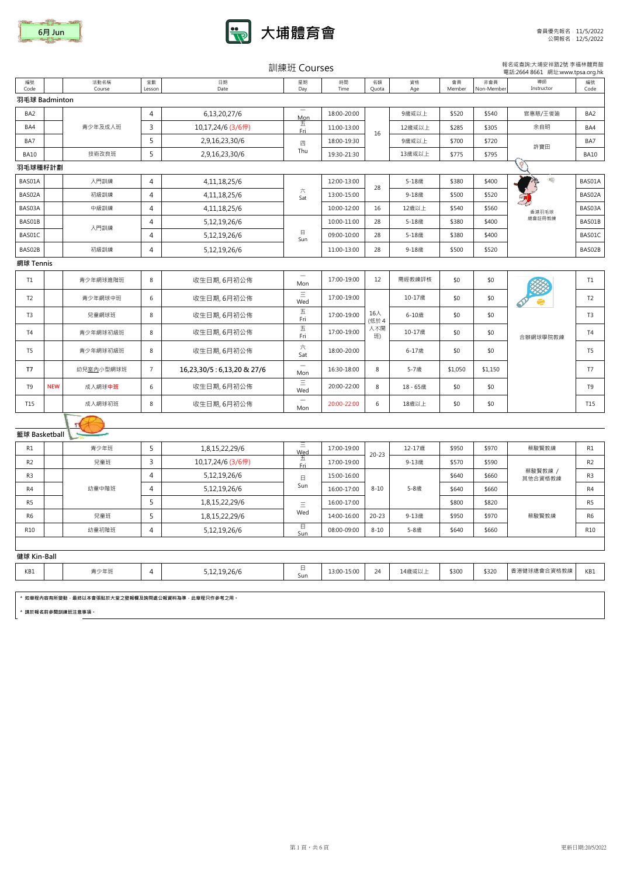



| 訓練班 Courses | 報名或查詢:大埔安祥路2號 李福林體育館 |
|-------------|----------------------|
|             |                      |

|                 |            |                                                 |                |                           | <b>PIII DATA COULDED</b>               |             |             |           |              |                   | 電話:2664 8661 網址:www.tpsa.org.hk |                |
|-----------------|------------|-------------------------------------------------|----------------|---------------------------|----------------------------------------|-------------|-------------|-----------|--------------|-------------------|---------------------------------|----------------|
| 編號<br>Code      |            | 活動名稱<br>Course                                  | 堂數<br>Lesson   | 日期<br>Date                | 星期<br>Day                              | 時間<br>Time  | 名額<br>Quota | 資格<br>Age | 會員<br>Member | 非會員<br>Non-Member | 導師<br>Instructor                | 編號<br>Code     |
| 羽毛球 Badminton   |            |                                                 |                |                           |                                        |             |             |           |              |                   |                                 |                |
| BA <sub>2</sub> |            |                                                 | 4              | 6,13,20,27/6              | $\hspace{0.1mm}-\hspace{0.1mm}$<br>Mon | 18:00-20:00 |             | 9歲或以上     | \$520        | \$540             | 官惠慈/王俊廸                         | BA2            |
| BA4             |            | 青少年及成人班                                         | $\overline{3}$ | 10,17,24/6 (3/6停)         | 五<br>Fri                               | 11:00-13:00 | 16          | 12歳或以上    | \$285        | \$305             | 余自明                             | BA4            |
| BA7             |            |                                                 | 5              | 2,9,16,23,30/6            | 四                                      | 18:00-19:30 |             | 9歳或以上     | \$700        | \$720             | 許寶田                             | BA7            |
| <b>BA10</b>     |            | 技術改良班                                           | 5              | 2,9,16,23,30/6            | Thu                                    | 19:30-21:30 |             | 13歳或以上    | \$775        | \$795             |                                 | <b>BA10</b>    |
| 羽毛球種籽計劃         |            |                                                 |                |                           |                                        |             |             |           |              |                   |                                 |                |
| BAS01A          |            | 入門訓練                                            | $\overline{4}$ | 4, 11, 18, 25/6           |                                        | 12:00-13:00 | 28          | 5-18歲     | \$380        | \$400             | 工                               | BAS01A         |
| BAS02A          |            | 初級訓練                                            | 4              | 4, 11, 18, 25/6           | 六<br>Sat                               | 13:00-15:00 |             | 9-18歳     | \$500        | \$520             |                                 | BAS02A         |
| BAS03A          |            | 中級訓練                                            | 4              | 4, 11, 18, 25/6           |                                        | 10:00-12:00 | 16          | 12歳以上     | \$540        | \$560             | 香港羽毛球                           | BAS03A         |
| BAS01B          |            | 入門訓練                                            | 4              | 5,12,19,26/6              |                                        | 10:00-11:00 | 28          | 5-18歳     | \$380        | \$400             | 總會註冊教練                          | BAS01B         |
| BAS01C          |            |                                                 | 4              | 5,12,19,26/6              | $\boxminus$<br>Sun                     | 09:00-10:00 | 28          | 5-18歲     | \$380        | \$400             |                                 | BAS01C         |
| BAS02B          |            | 初級訓練                                            | $\overline{4}$ | 5, 12, 19, 26/6           |                                        | 11:00-13:00 | 28          | 9-18歳     | \$500        | \$520             |                                 | BAS02B         |
| 網球 Tennis       |            |                                                 |                |                           |                                        |             |             |           |              |                   |                                 |                |
| T1              |            | 青少年網球進階班                                        | 8              | 收生日期, 6月初公佈               | $\overline{\phantom{m}}$<br>Mon        | 17:00-19:00 | 12          | 需經教練評核    | \$0          | \$0               |                                 | T1             |
| T <sub>2</sub>  |            | 青少年網球中班                                         | 6              | 收生日期, 6月初公佈               | $\equiv$<br>Wed                        | 17:00-19:00 |             | 10-17歲    | \$0          | \$0               |                                 | T <sub>2</sub> |
| T <sub>3</sub>  |            | 兒童網球班                                           | 8              | 收生日期, 6月初公佈               | 五<br>Fri                               | 17:00-19:00 | 16人<br>(低於4 | 6-10歳     | \$0          | \$0               |                                 | T <sub>3</sub> |
| T4              |            | 青少年網球初級班                                        | 8              | 收生日期, 6月初公佈               | $\overline{\mathrm{h}}$<br>Fri         | 17:00-19:00 | 人不開<br>班)   | 10-17歳    | \$0          | \$0               | 合辦網球學院教練                        | T <sub>4</sub> |
| T5              |            | 青少年網球初級班                                        | 8              | 收生日期, 6月初公佈               | 六<br>Sat                               | 18:00-20:00 |             | 6-17歳     | \$0          | \$0               |                                 | T5             |
| T7              |            | 幼兒室内小型網球班                                       | $\overline{7}$ | 16,23,30/5:6,13,20 & 27/6 | $\overline{\phantom{m}}$<br>Mon        | 16:30-18:00 | 8           | 5-7歲      | \$1,050      | \$1,150           |                                 | T7             |
| T9              | <b>NEW</b> | 成人網球中班                                          | 6              | 收生日期, 6月初公佈               | Ξ<br>Wed                               | 20:00-22:00 | 8           | 18-65歳    | \$0          | \$0               |                                 | T9             |
| T15             |            | 成人網球初班                                          | 8              | 收生日期, 6月初公佈               | $\overline{\phantom{a}}$<br>Mon        | 20:00-22:00 | 6           | 18歳以上     | \$0          | \$0               |                                 | T15            |
|                 |            |                                                 |                |                           |                                        |             |             |           |              |                   |                                 |                |
| 籃球 Basketball   |            |                                                 |                |                           |                                        |             |             |           |              |                   |                                 |                |
| R1              |            | 青少年班                                            | 5              | 1,8,15,22,29/6            | Ξ<br>Wed                               | 17:00-19:00 | $20 - 23$   | 12-17歲    | \$950        | \$970             | 蔡駿賢教練                           | R1             |
| R <sub>2</sub>  |            | 兒童班                                             | 3              | 10,17,24/6 (3/6停)         | 五<br>Fri.                              | 17:00-19:00 |             | 9-13歳     | \$570        | \$590             |                                 | R <sub>2</sub> |
| R <sub>3</sub>  |            |                                                 | $\overline{4}$ | 5, 12, 19, 26/6           | 日                                      | 15:00-16:00 |             |           | \$640        | \$660             | 蔡駿賢教練 /<br>其他合資格教練              | R3             |
| R4              |            | 幼童中階班                                           | 4              | 5,12,19,26/6              | Sun                                    | 16:00-17:00 | $8 - 10$    | 5-8歲      | \$640        | \$660             |                                 | R4             |
| R5              |            |                                                 | 5              | 1,8,15,22,29/6            | $\equiv$                               | 16:00-17:00 |             |           | \$800        | \$820             |                                 | R <sub>5</sub> |
| R6              |            | 兒童班                                             | 5              | 1,8,15,22,29/6            | Wed                                    | 14:00-16:00 | $20 - 23$   | 9-13歳     | \$950        | \$970             | 蔡駿賢教練                           | R <sub>6</sub> |
| R10             |            | 幼童初階班                                           | 4              | 5, 12, 19, 26/6           | 日<br>Sun                               | 08:00-09:00 | $8 - 10$    | 5-8歲      | \$640        | \$660             |                                 | <b>R10</b>     |
| 健球 Kin-Ball     |            |                                                 |                |                           |                                        |             |             |           |              |                   |                                 |                |
|                 |            | 青少年班                                            |                | 5.12.19.26/6              | 日                                      | 13:00-15:00 | 24          |           | \$300        | \$320             | 香港健球總會合資格教練                     | KB1            |
| KB1             |            |                                                 | 4              |                           | Sun                                    |             |             | 14歲或以上    |              |                   |                                 |                |
|                 |            | * 如章程内容有所變動,最終以本會張貼於大堂之壁報欄及詢問處公報資料為準,此章程只作參考之用。 |                |                           |                                        |             |             |           |              |                   |                                 |                |
|                 |            | * 請於報名前參閱訓練班注意事項。                               |                |                           |                                        |             |             |           |              |                   |                                 |                |
|                 |            |                                                 |                |                           |                                        |             |             |           |              |                   |                                 |                |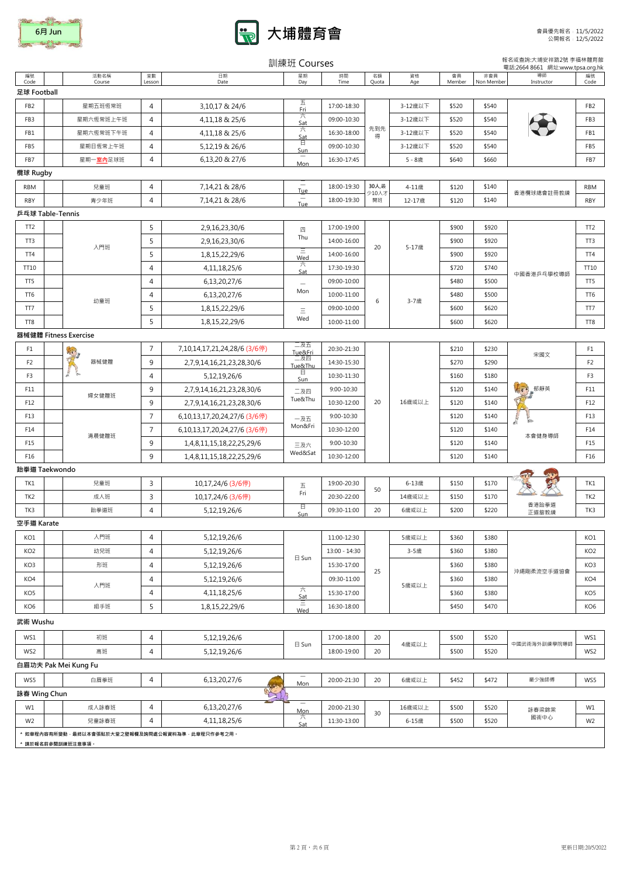| 6月 Jun |
|--------|
|        |



|                        |                                                 |                |                                                              | 訓練班 Courses                            |                            |             |                 |                |                   | 報名或查詢:大埔安祥路2號 李福林體育館<br>電話:2664 8661 網址:www.tpsa.org.hk |                        |
|------------------------|-------------------------------------------------|----------------|--------------------------------------------------------------|----------------------------------------|----------------------------|-------------|-----------------|----------------|-------------------|---------------------------------------------------------|------------------------|
| 編號<br>Code             | 活動名稱<br>Course                                  | 堂數<br>Lesson   | 日期<br>Date                                                   | 星期<br>Day                              | 時間<br>Time                 | 名額<br>Quota | 資格<br>Age       | 會員<br>Member   | 非會員<br>Non Member | 導師<br>Instructor                                        | 編號<br>Code             |
| 足球 Football            |                                                 |                |                                                              |                                        |                            |             |                 |                |                   |                                                         |                        |
| FB <sub>2</sub>        | 星期五班恆常班                                         | 4              | 3,10,17 & 24/6                                               | 五<br>Fri                               | 17:00-18:30                |             | 3-12歳以下         | \$520          | \$540             |                                                         | FB <sub>2</sub>        |
| FB3                    | 星期六恆常班上午班                                       | $\overline{4}$ | 4,11,18 & 25/6                                               | 六                                      | 09:00-10:30                |             | 3-12歳以下         | \$520          | \$540             |                                                         | FB3                    |
| FB1                    | 星期六恆常班下午班                                       | $\overline{4}$ | 4.11.18 & 25/6                                               | Sat<br>六                               | 16:30-18:00                | 先到先<br>得    | 3-12歳以下         | \$520          | \$540             |                                                         | FB1                    |
| FB5                    | 星期日恆常上午班                                        | 4              | 5,12,19 & 26/6                                               | Sat<br>日                               | 09:00-10:30                |             | 3-12歳以下         | \$520          | \$540             |                                                         | FB5                    |
| FB7                    | 星期一室内足球班                                        | 4              | 6,13,20 & 27/6                                               | <b>Sun</b>                             | 16:30-17:45                |             | 5-8歳            | \$640          | \$660             |                                                         | FB7                    |
| 欖球 Rugby               |                                                 |                |                                                              | Mon                                    |                            |             |                 |                |                   |                                                         |                        |
| <b>RBM</b>             | 兒童班                                             | 4              | 7,14,21 & 28/6                                               |                                        | 18:00-19:30                | 30人,最       | 4-11歳           | \$120          | \$140             |                                                         | RBM                    |
| <b>RBY</b>             | 青少年班                                            | $\overline{4}$ | 7,14,21 & 28/6                                               | <b>Tue</b><br>$\overline{\phantom{m}}$ | 18:00-19:30                | 少10人才<br>開班 | 12-17歳          | \$120          | \$140             | 香港欖球總會註冊教練                                              | <b>RBY</b>             |
|                        | 乒乓球 Table-Tennis                                |                |                                                              | Tue                                    |                            |             |                 |                |                   |                                                         |                        |
| TT <sub>2</sub>        |                                                 | 5              | 2,9,16,23,30/6                                               |                                        | 17:00-19:00                |             |                 | \$900          | \$920             |                                                         | TT <sub>2</sub>        |
| TT3                    |                                                 | 5              | 2,9,16,23,30/6                                               | 四<br>Thu                               | 14:00-16:00                |             |                 | \$900          | \$920             |                                                         | TT3                    |
| TT4                    | 入門班                                             | 5              | 1,8,15,22,29/6                                               | Ξ                                      | 14:00-16:00                | 20          | 5-17歲           | \$900          | \$920             |                                                         | TT4                    |
| TT10                   |                                                 | 4              | 4, 11, 18, 25/6                                              | Wed<br>六                               | 17:30-19:30                |             |                 | \$720          | \$740             |                                                         | TT10                   |
| TT <sub>5</sub>        |                                                 | $\overline{4}$ | 6,13,20,27/6                                                 | Sat                                    | 09:00-10:00                |             |                 | \$480          | \$500             | 中國香港乒乓學校導師                                              | TT5                    |
| TT6                    |                                                 | 4              | 6,13,20,27/6                                                 | Mon                                    | 10:00-11:00                |             |                 | \$480          | \$500             |                                                         | TT6                    |
| TT7                    | 幼童班                                             | 5              | 1,8,15,22,29/6                                               |                                        | 09:00-10:00                | 6           | 3-7歲            | \$600          | \$620             |                                                         | TT7                    |
| TT8                    |                                                 | 5              | 1,8,15,22,29/6                                               | Ξ<br>Wed                               | 10:00-11:00                |             |                 | \$600          | \$620             |                                                         | TT8                    |
|                        | 器械健體 Fitness Exercise                           |                |                                                              |                                        |                            |             |                 |                |                   |                                                         |                        |
| F1                     |                                                 | $\overline{7}$ | 7,10,14,17,21,24,28/6 (3/6停)                                 | 二及五                                    | 20:30-21:30                |             |                 | \$210          | \$230             |                                                         | F1                     |
| F <sub>2</sub>         | ぼく<br>器械健體                                      | 9              | 2,7,9,14,16,21,23,28,30/6                                    | Tue&Fri<br>二及四                         | 14:30-15:30                |             |                 | \$270          | \$290             | 宋國文<br>$\sqrt{2}$<br>郁靜英                                | F <sub>2</sub>         |
| F3                     |                                                 | 4              | 5,12,19,26/6                                                 | Tue&Thu<br>日                           | 10:30-11:30                |             |                 | \$160          | \$180             |                                                         | F3                     |
| F11                    |                                                 | 9              | 2,7,9,14,16,21,23,28,30/6                                    | Sun                                    | 9:00-10:30                 |             |                 | \$120          | \$140             |                                                         | F11                    |
| F12                    | 婦女健體班                                           | 9              | 2,7,9,14,16,21,23,28,30/6                                    | 二及四<br>Tue&Thu                         | 10:30-12:00                | 20          | 16歲或以上          | \$120          | \$140             |                                                         | F12                    |
| F13                    |                                                 | $\overline{7}$ |                                                              |                                        | 9:00-10:30                 |             |                 | \$120          | \$140             |                                                         | F13                    |
| F14                    |                                                 | $\overline{7}$ | 6,10,13,17,20,24,27/6 (3/6停)<br>6,10,13,17,20,24,27/6 (3/6停) | 一及五<br>Mon&Fri                         | 10:30-12:00                |             |                 | \$120          | \$140             |                                                         | F14                    |
| F15                    | 清晨健體班                                           |                |                                                              |                                        |                            |             |                 | \$120          |                   | 本會健身導師                                                  | F15                    |
| F16                    |                                                 | 9<br>9         | 1,4,8,11,15,18,22,25,29/6                                    | 三及六<br>Wed&Sat                         | 9:00-10:30<br>10:30-12:00  |             |                 | \$120          | \$140<br>\$140    |                                                         | F16                    |
|                        | 跆拳道 Taekwondo                                   |                | 1,4,8,11,15,18,22,25,29/6                                    |                                        |                            |             |                 |                |                   |                                                         |                        |
|                        |                                                 |                |                                                              |                                        |                            |             |                 |                |                   |                                                         |                        |
| TK1<br>TK <sub>2</sub> | 兒童班<br>成人班                                      | 3<br>3         | 10,17,24/6 (3/6停)                                            | 五<br>Fri                               | 19:00-20:30<br>20:30-22:00 | 50          | 6-13歳<br>14歳或以上 | \$150<br>\$150 | \$170<br>\$170    |                                                         | TK1<br>TK <sub>2</sub> |
|                        |                                                 | 4              | 10,17,24/6 (3/6停)                                            | 日                                      |                            | 20          |                 | \$200          | \$220             | 香港跆拳道                                                   |                        |
| TK3<br>空手道 Karate      | 跆拳道班                                            |                | 5,12,19,26/6                                                 | Sun                                    | 09:30-11:00                |             | 6歳或以上           |                |                   | 正道舘教練                                                   | TK3                    |
| KO1                    | 入門班                                             | 4              |                                                              |                                        | 11:00-12:30                |             | 5歳或以上           | \$360          | \$380             |                                                         | KO1                    |
|                        | 幼兒班                                             | $\overline{4}$ | 5,12,19,26/6                                                 |                                        |                            |             |                 |                |                   |                                                         |                        |
| KO <sub>2</sub>        |                                                 |                | 5,12,19,26/6                                                 | 日 Sun                                  | 13:00 - 14:30              |             | 3-5歲            | \$360          | \$380             |                                                         | KO <sub>2</sub>        |
| KO3                    | 形班                                              | 4              | 5,12,19,26/6                                                 |                                        | 15:30-17:00                | 25          |                 | \$360          | \$380             | 沖繩剛柔流空手道協會                                              | KO3                    |
| KO4                    | 入門班                                             | 4              | 5,12,19,26/6                                                 | 六                                      | 09:30-11:00                |             | 5歲或以上           | \$360          | \$380             |                                                         | KO4                    |
| KO5                    |                                                 | 4              | 4, 11, 18, 25/6                                              | Sat<br>Ξ                               | 15:30-17:00                |             |                 | \$360          | \$380             |                                                         | KO <sub>5</sub>        |
| KO <sub>6</sub>        | 組手班                                             | 5              | 1,8,15,22,29/6                                               | Wed                                    | 16:30-18:00                |             |                 | \$450          | \$470             |                                                         | KO <sub>6</sub>        |
| 武術 Wushu               |                                                 |                |                                                              |                                        |                            |             |                 |                |                   |                                                         |                        |
| WS1                    | 初班                                              | 4              | 5,12,19,26/6                                                 | $\boxminus$ Sun                        | 17:00-18:00                | 20          | 4歳或以上           | \$500          | \$520             | 中國武術海外訓練學院導師                                            | WS1                    |
| WS2                    | 高班                                              | 4              | 5,12,19,26/6                                                 |                                        | 18:00-19:00                | 20          |                 | \$500          | \$520             |                                                         | WS2                    |
|                        | 白眉功夫 Pak Mei Kung Fu                            |                |                                                              |                                        |                            |             |                 |                |                   |                                                         |                        |
| WS5                    | 白眉拳班                                            | 4              | 6,13,20,27/6                                                 | $\overline{\phantom{a}}$<br>Mon        | 20:00-21:30                | 20          | 6歳或以上           | \$452          | \$472             | 嚴少強師傅                                                   | WS5                    |
| 詠春 Wing Chun           |                                                 |                | gr                                                           |                                        |                            |             |                 |                |                   |                                                         |                        |
| W1                     | 成人詠春班                                           | 4              | 6,13,20,27/6                                                 | $\overline{\phantom{a}}$<br>Mon        | 20:00-21:30                |             | 16歲或以上          | \$500          | \$520             | 詠春梁錦棠                                                   | W1                     |
| W <sub>2</sub>         | 兒童詠春班                                           | 4              | 4, 11, 18, 25/6                                              | 六<br>Sat                               | 11:30-13:00                | 30          | 6-15歳           | \$500          | \$520             | 國術中心                                                    | W <sub>2</sub>         |
|                        | * 如章程内容有所變動,最終以本會張貼於大堂之壁報欄及詢問處公報資料為準,此章程只作參考之用。 |                |                                                              |                                        |                            |             |                 |                |                   |                                                         |                        |
|                        | * 請於報名前參閱訓練班注意事項。                               |                |                                                              |                                        |                            |             |                 |                |                   |                                                         |                        |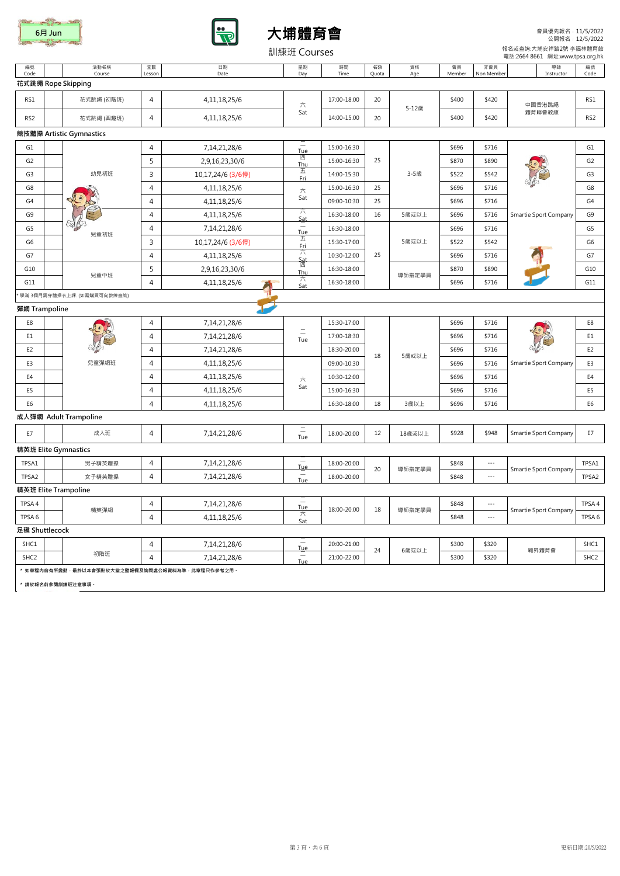





會員優先報名﹕11/5/2022 公開報名﹕12/5/2022

|                  |                                                                           |                |                   | 訓練班 Courses                            |             |             |           |              |                          | 報名或查詢:大埔安祥路2號 李福林體育館<br>電話:2664 8661 網址:www.tpsa.org.hk |                  |
|------------------|---------------------------------------------------------------------------|----------------|-------------------|----------------------------------------|-------------|-------------|-----------|--------------|--------------------------|---------------------------------------------------------|------------------|
| 編號<br>Code       | 活動名稱<br>Course                                                            | 堂數<br>Lesson   | 日期<br>Date        | 星期<br>Day                              | 時間<br>Time  | 名額<br>Quota | 資格<br>Age | 會員<br>Member | 非會員<br>Non Member        | 導師<br>Instructor                                        | 編號<br>Code       |
|                  | 花式跳繩 Rope Skipping                                                        |                |                   |                                        |             |             |           |              |                          |                                                         |                  |
| RS1              | 花式跳繩 (初階班)                                                                | 4              | 4, 11, 18, 25/6   | 六                                      | 17:00-18:00 | 20          |           | \$400        | \$420                    | 中國香港跳繩                                                  | RS1              |
| RS <sub>2</sub>  | 花式跳繩 (興趣班)                                                                | 4              | 4, 11, 18, 25/6   | Sat                                    | 14:00-15:00 | 20          | 5-12歳     | \$400        | \$420                    | 體育聯會教練                                                  | RS <sub>2</sub>  |
|                  | 競技體操 Artistic Gymnastics                                                  |                |                   |                                        |             |             |           |              |                          |                                                         |                  |
| G1               |                                                                           | 4              | 7,14,21,28/6      | $\overline{\phantom{0}}$<br><b>Tue</b> | 15:00-16:30 |             |           | \$696        | \$716                    |                                                         | G1               |
| G <sub>2</sub>   |                                                                           | 5              | 2,9,16,23,30/6    | 四<br>Thu                               | 15:00-16:30 | 25          |           | \$870        | \$890                    |                                                         | G <sub>2</sub>   |
| G3               | 幼兒初班                                                                      | 3              | 10,17,24/6 (3/6停) | 五<br><b>Fri</b>                        | 14:00-15:30 |             | 3-5歲      | \$522        | \$542                    |                                                         | G <sub>3</sub>   |
| G8               |                                                                           | 4              | 4,11,18,25/6      | 六                                      | 15:00-16:30 | 25          |           | \$696        | \$716                    |                                                         | G8               |
| G4               |                                                                           | 4              | 4, 11, 18, 25/6   | Sat                                    | 09:00-10:30 | 25          |           | \$696        | \$716                    |                                                         | G4               |
| G9               |                                                                           | $\overline{4}$ | 4, 11, 18, 25/6   | ᅔ<br>Sat                               | 16:30-18:00 | 16          | 5歲或以上     | \$696        | \$716                    | Smartie Sport Company                                   | G9               |
| G5               | 兒童初班                                                                      | 4              | 7,14,21,28/6      | <b>Tue</b>                             | 16:30-18:00 |             |           | \$696        | \$716                    |                                                         | G5               |
| G6               |                                                                           | 3              | 10,17,24/6 (3/6停) | 五<br>Fri                               | 15:30-17:00 |             | 5歲或以上     | \$522        | \$542                    |                                                         | G6               |
| G7               |                                                                           | 4              | 4, 11, 18, 25/6   | 六                                      | 10:30-12:00 | 25          |           | \$696        | \$716                    |                                                         | G7               |
| G10              | 兒童中班                                                                      | 5              | 2,9,16,23,30/6    | Sat<br>四<br>Thu                        | 16:30-18:00 |             |           | \$870        | \$890                    |                                                         | G10              |
| G11              |                                                                           | 4              | 4, 11, 18, 25/6   | 六<br>Sat                               | 16:30-18:00 |             | 導師指定學員    | \$696        | \$716                    |                                                         | G11              |
|                  | 學滿 3個月需穿體操衣上課. (如需購買可向教練查詢)                                               |                |                   |                                        |             |             |           |              |                          |                                                         |                  |
| 彈網 Trampoline    |                                                                           |                |                   |                                        |             |             |           |              |                          |                                                         |                  |
| E8               |                                                                           | 4              | 7,14,21,28/6      | $\equiv$<br>Tue                        | 15:30-17:00 | 18          |           | \$696        | \$716                    |                                                         | E8               |
| E1               |                                                                           | 4              | 7,14,21,28/6      |                                        | 17:00-18:30 |             |           | \$696        | \$716                    |                                                         | E1               |
| E <sub>2</sub>   |                                                                           | 4              | 7,14,21,28/6      |                                        | 18:30-20:00 |             | 5歲或以上     | \$696        | \$716                    |                                                         | E <sub>2</sub>   |
| E3               | 兒童彈網班                                                                     | 4              | 4,11,18,25/6      |                                        | 09:00-10:30 |             |           | \$696        | \$716                    | Smartie Sport Company                                   | E3               |
| E4               |                                                                           | 4              | 4, 11, 18, 25/6   | 六                                      | 10:30-12:00 |             |           | \$696        | \$716                    |                                                         | E4               |
| E5               |                                                                           | 4              | 4, 11, 18, 25/6   | Sat                                    | 15:00-16:30 |             |           | \$696        | \$716                    |                                                         | E5               |
| E6               |                                                                           | $\overline{4}$ | 4,11,18,25/6      |                                        | 16:30-18:00 | 18          | 3歳以上      | \$696        | \$716                    |                                                         | E <sub>6</sub>   |
|                  | 成人彈網 Adult Trampoline                                                     |                |                   |                                        |             |             |           |              |                          |                                                         |                  |
| E7               | 成人班                                                                       | 4              | 7,14,21,28/6      | Ξ<br>Tue                               | 18:00-20:00 | 12          | 18歳或以上    | \$928        | \$948                    | Smartie Sport Company                                   | E7               |
|                  | 精英班 Elite Gymnastics                                                      |                |                   |                                        |             |             |           |              |                          |                                                         |                  |
| TPSA1            | 男子精英體操                                                                    | 4              | 7,14,21,28/6      | $\overline{\phantom{0}}$<br><b>Tue</b> | 18:00-20:00 | 20          | 導師指定學員    | \$848        | $\overline{\phantom{a}}$ | Smartie Sport Company                                   | TPSA1            |
| TPSA2            | 女子精英體操                                                                    | $\overline{4}$ | 7,14,21,28/6      | Ξ<br>Tue                               | 18:00-20:00 |             |           | \$848        | $\overline{\phantom{a}}$ |                                                         | TPSA2            |
|                  | 精英班 Elite Trampoline                                                      |                |                   |                                        |             |             |           |              |                          |                                                         |                  |
| TPSA4            | 精英彈網                                                                      | 4              | 7,14,21,28/6      | $\overline{\phantom{a}}$<br><b>Tue</b> | 18:00-20:00 | 18          | 導師指定學員    | \$848        | $\cdots$ .               |                                                         | TPSA 4           |
| TPSA 6           |                                                                           | 4              | 4, 11, 18, 25/6   | ╱╲<br>Sat                              |             |             |           | \$848        | $\cdots$ .               | Smartie Sport Company                                   | TPSA 6           |
| 足毽 Shuttlecock   |                                                                           |                |                   |                                        |             |             |           |              |                          |                                                         |                  |
| SHC1             |                                                                           | 4              | 7,14,21,28/6      | $\sim$<br><b>Tue</b>                   | 20:00-21:00 | 24          | 6歳或以上     | \$300        | \$320                    | 翱昇體育會                                                   | SHC1             |
| SHC <sub>2</sub> | 初階班                                                                       | 4              | 7,14,21,28/6      | Ξ<br>Tue                               | 21:00-22:00 |             |           | \$300        | \$320                    |                                                         | SHC <sub>2</sub> |
|                  | * 如章程内容有所變動 · 最終以本會張贴於大堂之壁報欄及詢問處公報資料為準 · 此章程只作參考之用 ·<br>* 請於報名前參閱訓練班注意事項。 |                |                   |                                        |             |             |           |              |                          |                                                         |                  |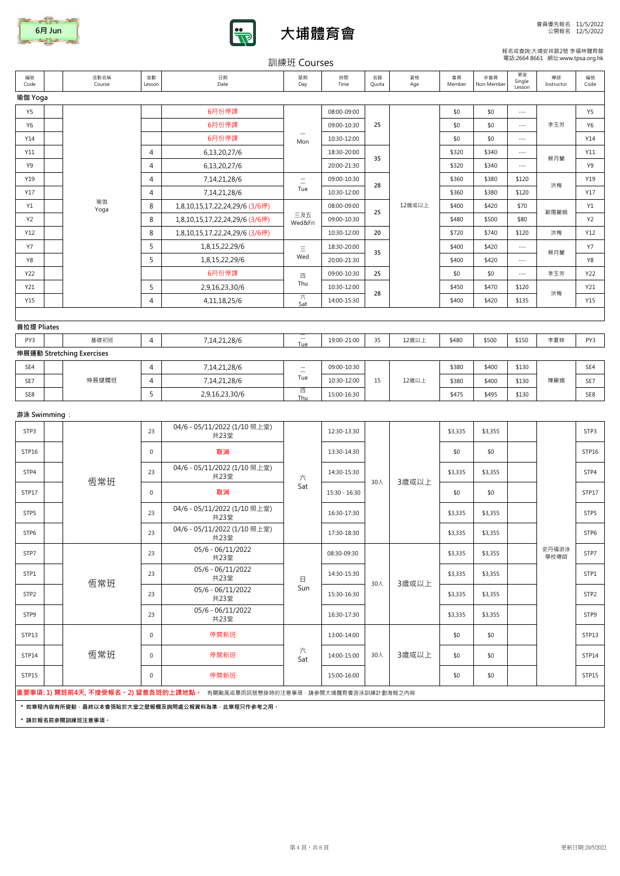





## 報名或查詢:大埔安祥路2號 李福林體育館 電話:2664 8661 網址:www.tpsa.org.hk

|                       |  |                           |                                |                                                                                    | 訓練班 Courses              |                            |             |           |              |                   |                          | 電話:2664 8661 網址:www.tpsa.org.hk |            |
|-----------------------|--|---------------------------|--------------------------------|------------------------------------------------------------------------------------|--------------------------|----------------------------|-------------|-----------|--------------|-------------------|--------------------------|---------------------------------|------------|
| 編號<br>Code            |  | 活動名稱<br>Course            | 堂數<br>Lesson                   | 日期<br>Date                                                                         | 星期<br>Day                | 時間<br>Time                 | 名額<br>Quota | 資格<br>Age | 會員<br>Member | 非會員<br>Non Member | 單堂<br>Single<br>Lesson   | 導師<br>Instructor                | 編號<br>Code |
| 瑜伽 Yoga               |  |                           |                                |                                                                                    |                          |                            |             |           |              |                   |                          |                                 |            |
| Y5                    |  |                           |                                | 6月份停課                                                                              |                          | 08:00-09:00                |             |           | \$0          | \$0               | $\overline{a}$           |                                 | Y5         |
| Y6                    |  |                           |                                | 6月份停課                                                                              |                          | 09:00-10:30                | 25          |           | \$0          | \$0               | $\cdots$                 | 李玉芳                             | Y6         |
| Y14                   |  |                           |                                | 6月份停課                                                                              | Mon                      | 10:30-12:00                |             |           | \$0          | \$0               | $\sim$ $\sim$ $\sim$     |                                 | Y14        |
| Y11                   |  |                           | $\overline{4}$                 | 6,13,20,27/6                                                                       |                          | 18:30-20:00                | 35          |           | \$320        | \$340             | $\sim$ $\sim$ $\sim$     | 蔡月蘭                             | Y11        |
| Y9                    |  |                           | $\overline{4}$                 | 6,13,20,27/6                                                                       |                          | 20:00-21:30                |             |           | \$320        | \$340             | $\sim$ $\sim$ $\sim$     |                                 | Y9         |
| Y19                   |  |                           | 4                              | 7,14,21,28/6                                                                       | $\equiv$                 | 09:00-10:30                | 28          |           | \$360        | \$380             | \$120                    | 洪梅                              | Y19        |
| Y17                   |  | 瑜伽                        | $\overline{4}$                 | 7,14,21,28/6                                                                       | Tue                      | 10:30-12:00                |             |           | \$360        | \$380<br>\$120    |                          | Y17                             |            |
| Y1                    |  | Yoga                      | 8                              | 1,8,10,15,17,22,24,29/6 (3/6停)                                                     | 三及五                      | 08:00-09:00                | 25          | 12歳或以上    | \$400        | \$420             | \$70                     | 歐陽麗娟                            | Y1         |
| Y2                    |  |                           | 8                              | 1,8,10,15,17,22,24,29/6 (3/6停)                                                     | Wed&Fri                  | 09:00-10:30                |             |           | \$480        | \$500             | \$80                     |                                 | Y2         |
| Y12                   |  |                           | 8                              | 1,8,10,15,17,22,24,29/6 (3/6停)                                                     |                          | 10:30-12:00                | 20          |           | \$720        | \$740             | \$120                    | 洪梅                              | Y12        |
| <b>Y7</b>             |  |                           | 5                              | 1,8,15,22,29/6                                                                     | Ξ<br>Wed                 | 18:30-20:00                | 35          |           | \$400        | \$420             | $\sim$ $\sim$ $\sim$     | 蔡月蘭                             | Y7         |
| Y8                    |  |                           | 5                              | 1,8,15,22,29/6                                                                     |                          | 20:00-21:30                |             |           | \$400        | \$420             | $\overline{\phantom{a}}$ |                                 | Y8         |
| Y22                   |  |                           |                                | 6月份停課                                                                              | 四<br>Thu                 | 09:00-10:30                | 25          |           | \$0          | \$0               | $\sim$ $\sim$ $\sim$     | 李玉芳                             | Y22        |
| Y21<br>Y15            |  |                           | 5<br>$\overline{4}$            | 2,9,16,23,30/6                                                                     | 六                        | 10:30-12:00<br>14:00-15:30 | 28          |           | \$450        | \$470             | \$120                    | 洪梅                              | Y21<br>Y15 |
|                       |  |                           |                                | 4, 11, 18, 25/6                                                                    | Sat                      |                            |             |           | \$400        | \$420             | \$135                    |                                 |            |
| 普拉提 Pliates           |  |                           |                                |                                                                                    |                          |                            |             |           |              |                   |                          |                                 |            |
| PY3                   |  | 基礎初班                      | $\overline{4}$                 | 7,14,21,28/6                                                                       | $\overline{\phantom{m}}$ | 19:00-21:00                | 35          | 12歳以上     | \$480        | \$500             | \$150                    | 李夏妹                             | PY3        |
|                       |  | 伸展運動 Stretching Exercises |                                |                                                                                    | Tue                      |                            |             |           |              |                   |                          |                                 |            |
| SE4                   |  |                           | $\overline{4}$<br>7,14,21,28/6 | $\equiv$                                                                           | 09:00-10:30              |                            |             | \$380     | \$400        | \$130             |                          | SE4                             |            |
| SE7                   |  | 伸展健體班                     | $\overline{4}$                 | 7,14,21,28/6                                                                       | Tue                      | 10:30-12:00                | 15          | 12歳以上     | \$380        | \$400             | \$130                    | 陳麗媚                             | SE7        |
| SE8                   |  |                           | 5                              | 2,9,16,23,30/6                                                                     | 四<br>Thu                 | 15:00-16:30                |             |           | \$475        | \$495             | \$130                    |                                 | SE8        |
|                       |  |                           |                                |                                                                                    |                          |                            |             |           |              |                   |                          |                                 |            |
| 游泳 Swimming :<br>STP3 |  |                           | 23                             | 04/6 - 05/11/2022 (1/10照上堂)<br>共23堂                                                |                          | 12:30-13:30                |             |           | \$3,335      | \$3,355           |                          |                                 | STP3       |
| STP16                 |  |                           | $\mathbf 0$                    | 取消                                                                                 |                          | 13:30-14:30                |             |           | \$0          | \$0               |                          |                                 | STP16      |
| STP4                  |  |                           | 23                             | 04/6 - 05/11/2022 (1/10照上堂)<br>共23堂                                                | 六                        | 14:30-15:30                |             |           | \$3,335      | \$3,355           |                          |                                 | STP4       |
| STP17                 |  | 恆常班                       | $\mathbf 0$                    | 取消                                                                                 | Sat                      | 15:30 - 16:30              | 30人         | 3歳或以上     | \$0          | \$0               |                          |                                 | STP17      |
| STP5                  |  |                           | 23                             | 04/6 - 05/11/2022 (1/10照上堂)<br>共23堂                                                |                          | 16:30-17:30                |             |           | \$3,335      | \$3,355           |                          |                                 | STP5       |
| STP6                  |  |                           | 23                             | 04/6 - 05/11/2022 (1/10 照上堂)<br>共23堂                                               |                          | 17:30-18:30                |             |           | \$3,335      | \$3,355           |                          |                                 | STP6       |
| STP7                  |  |                           | 23                             | 05/6 - 06/11/2022<br>共23堂                                                          |                          | 08:30-09:30                |             |           | \$3,335      | \$3,355           |                          | 史丹福游泳<br>學校導師                   | STP7       |
| STP1                  |  | 恆常班                       | 23                             | 05/6 - 06/11/2022<br>共23堂                                                          | 日                        | 14:30-15:30                | 30人         | 3歲或以上     | \$3,335      | \$3,355           |                          |                                 | STP1       |
| STP <sub>2</sub>      |  |                           | 23                             | 05/6 - 06/11/2022<br>共23堂                                                          | Sun                      | 15:30-16:30                |             |           | \$3,335      | \$3,355           |                          |                                 | STP2       |
| STP9                  |  |                           | 23                             | 05/6 - 06/11/2022<br>共23堂                                                          |                          | 16:30-17:30                |             |           | \$3,335      | \$3,355           |                          |                                 | STP9       |
| STP13                 |  |                           | $\mathbf 0$                    | 停開新班                                                                               |                          | 13:00-14:00                |             |           | \$0          | \$0               |                          |                                 | STP13      |
| STP14                 |  | 恆常班                       | $\mathbf 0$                    | 停開新班                                                                               | 六<br>Sat                 | 14:00-15:00                | 30人         | 3歳或以上     | \$0          | \$0               |                          |                                 | STP14      |
| STP15                 |  |                           | $\mathbf 0$                    | 停開新班                                                                               |                          | 15:00-16:00                |             |           | \$0          | \$0               |                          |                                 | STP15      |
|                       |  |                           |                                | <b>重要事項: 1) 開班前4天, 不接受報名。2) 留意各班的上課地點。</b> 有關颱風或暴雨訊號懸掛時的注意事項 · 請參閱大埔體育會游泳訓練計劃海報之內容 |                          |                            |             |           |              |                   |                          |                                 |            |
|                       |  | * 請於報名前參閱訓練班注意事項。         |                                | * 如章程内容有所變動·最終以本會張貼於大堂之壁報欄及詢問處公報資料為準·此章程只作參考之用。                                    |                          |                            |             |           |              |                   |                          |                                 |            |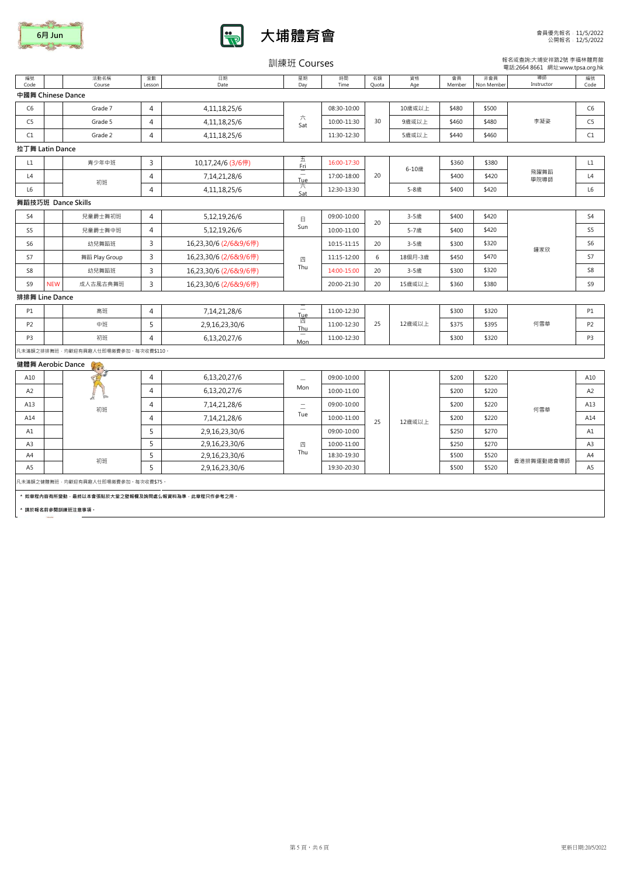| 6月 Jun |
|--------|
|        |



訓練班 Courses

報名或查詢:大埔安祥路2號 李福林體育館 電話:2664 8661 網址:www.tpsa.org.hk

| 編號<br>Code        |            | 活動名稱<br>Course                                  | 堂數<br>Lesson   | 日期<br>Date            | 星期<br>Day       | 時間<br>Time  | 名額<br>Quota | 資格<br>Age | 會員<br>Member | 非會員<br>Non Member | 導師<br>Instructor | 編號<br>Code     |
|-------------------|------------|-------------------------------------------------|----------------|-----------------------|-----------------|-------------|-------------|-----------|--------------|-------------------|------------------|----------------|
| 中國舞 Chinese Dance |            |                                                 |                |                       |                 |             |             |           |              |                   |                  |                |
| C <sub>6</sub>    |            | Grade 7                                         | $\overline{4}$ | 4,11,18,25/6          |                 | 08:30-10:00 |             | 10歳或以上    | \$480        | \$500             |                  | C <sub>6</sub> |
| C <sub>5</sub>    |            | Grade 5                                         | $\overline{4}$ | 4,11,18,25/6          | 六<br>Sat        | 10:00-11:30 | 30          | 9歳或以上     | \$460        | \$480             | 李凝姿              | C <sub>5</sub> |
| C1                |            | Grade 2                                         | $\overline{4}$ | 4,11,18,25/6          |                 | 11:30-12:30 |             | 5歳或以上     | \$440        | \$460             |                  | C1             |
| 拉丁舞 Latin Dance   |            |                                                 |                |                       |                 |             |             |           |              |                   |                  |                |
| L1                |            | 青少年中班                                           | 3              | 10,17,24/6 (3/6停)     | 五<br>Fri        | 16:00-17:30 |             |           | \$360        | \$380             |                  | L1             |
| L4                |            |                                                 | $\overline{4}$ | 7,14,21,28/6          | Ξ<br>Tue        | 17:00-18:00 | 20          | 6-10歳     | \$400        | \$420             | 飛躍舞蹈<br>學院導師     | L4             |
| L <sub>6</sub>    |            | 初班                                              | $\overline{4}$ | 4,11,18,25/6          | 六<br>Sat        | 12:30-13:30 |             | 5-8歳      | \$400        | \$420             |                  | L6             |
|                   |            | 舞蹈技巧班 Dance Skills                              |                |                       |                 |             |             |           |              |                   |                  |                |
| S <sub>4</sub>    |            | 兒童爵士舞初班                                         | $\overline{4}$ | 5,12,19,26/6          | $\Box$          | 09:00-10:00 | 20          | 3-5歳      | \$400        | \$420             |                  | S4             |
| S <sub>5</sub>    |            | 兒童爵士舞中班                                         | $\overline{4}$ | 5,12,19,26/6          | Sun             | 10:00-11:00 |             | 5-7歳      | \$400        | \$420             |                  | S <sub>5</sub> |
| S <sub>6</sub>    |            | 幼兒舞蹈班                                           | $\overline{3}$ | 16,23,30/6 (2/6&9/6停) |                 | 10:15-11:15 | 20          | 3-5歲      | \$300        | \$320             | 鍾家欣              | S <sub>6</sub> |
| S7                |            | 舞蹈 Play Group                                   | $\overline{3}$ | 16,23,30/6 (2/6&9/6停) | 四               | 11:15-12:00 | 6           | 18個月-3歲   | \$450        | \$470             |                  | S7             |
| S8                |            | 幼兒舞蹈班                                           | 3              | 16,23,30/6 (2/6&9/6停) | Thu             | 14:00-15:00 | 20          | 3-5歲      | \$300        | \$320             |                  | S8             |
| S <sub>9</sub>    | <b>NEW</b> | 成人古風古典舞班                                        | $\overline{3}$ | 16,23,30/6 (2/6&9/6停) |                 | 20:00-21:30 | 20          | 15歲或以上    | \$360        | \$380             |                  | S9             |
| 排排舞 Line Dance    |            |                                                 |                |                       |                 |             |             |           |              |                   |                  |                |
| <b>P1</b>         |            | 高班                                              | $\overline{4}$ | 7,14,21,28/6          | $\equiv$<br>Tue | 11:00-12:30 |             |           | \$300        | \$320             | 何雪華              | P1             |
| P <sub>2</sub>    |            | 中班                                              | 5              | 2,9,16,23,30/6        | 四<br>Thu        | 11:00-12:30 | 25          | 12歳或以上    | \$375        | \$395             |                  | P <sub>2</sub> |
| P <sub>3</sub>    |            | 初班                                              | $\overline{4}$ | 6,13,20,27/6          | Mon             | 11:00-12:30 |             |           | \$300        | \$320             |                  | P <sub>3</sub> |
|                   |            | 凡未滿額之排排舞班 · 均歡迎有興趣人仕即場繳費參加 · 每次收費\$110 ·        |                |                       |                 |             |             |           |              |                   |                  |                |
| 健體舞 Aerobic Dance |            | $\overline{\mathbf{r}}$                         |                |                       |                 |             |             |           |              |                   |                  |                |
| A10               |            |                                                 | $\overline{4}$ | 6,13,20,27/6          | $\sim$          | 09:00-10:00 |             |           | \$200        | \$220             |                  | A10            |
| A <sub>2</sub>    |            |                                                 | $\overline{4}$ | 6,13,20,27/6          | Mon             | 10:00-11:00 |             |           | \$200        | \$220             |                  | A2             |
| A13               |            | 初班                                              | $\overline{4}$ | 7,14,21,28/6          | $\equiv$        | 09:00-10:00 |             |           | \$200        | \$220             | 何雪華              | A13            |
| A14               |            |                                                 | $\overline{4}$ | 7,14,21,28/6          | Tue             | 10:00-11:00 | 25          | 12歳或以上    | \$200        | \$220             |                  | A14            |
| A1                |            |                                                 | 5              | 2,9,16,23,30/6        |                 | 09:00-10:00 |             |           | \$250        | \$270             |                  | A1             |
| A <sub>3</sub>    |            |                                                 | 5              | 2,9,16,23,30/6        | 四               | 10:00-11:00 |             |           | \$250        | \$270             |                  | A <sub>3</sub> |
| A4                |            | 初班                                              | 5              | 2,9,16,23,30/6        | Thu             | 18:30-19:30 |             |           | \$500        | \$520             | 香港排舞運動總會導師       | A4             |
| A <sub>5</sub>    |            |                                                 | 5              | 2,9,16,23,30/6        |                 | 19:30-20:30 |             |           | \$500        | \$520             |                  | A <sub>5</sub> |
|                   |            | 凡未滿額之健體舞班 · 均歡迎有興趣人仕即場繳費參加 · 每次收費\$75 ·         |                |                       |                 |             |             |           |              |                   |                  |                |
|                   |            | * 如章程內容有所變動,最終以本會張貼於大堂之壁報欄及詢問處公報資料為準,此章程只作參考之用。 |                |                       |                 |             |             |           |              |                   |                  |                |
|                   |            | * 請於報名前參閱訓練班注意事項。                               |                |                       |                 |             |             |           |              |                   |                  |                |